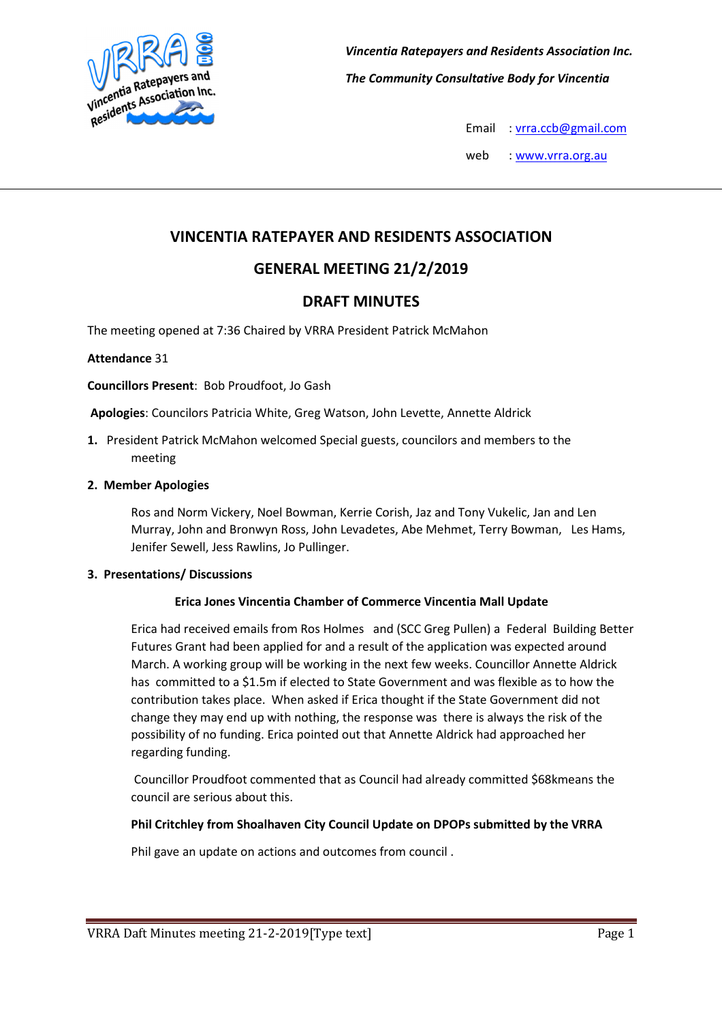

Email : vrra.ccb@gmail.com

web : www.vrra.org.au

# VINCENTIA RATEPAYER AND RESIDENTS ASSOCIATION

# GENERAL MEETING 21/2/2019

## DRAFT MINUTES

The meeting opened at 7:36 Chaired by VRRA President Patrick McMahon

## Attendance 31

## Councillors Present: Bob Proudfoot, Jo Gash

Apologies: Councilors Patricia White, Greg Watson, John Levette, Annette Aldrick

1. President Patrick McMahon welcomed Special guests, councilors and members to the meeting

## 2. Member Apologies

Ros and Norm Vickery, Noel Bowman, Kerrie Corish, Jaz and Tony Vukelic, Jan and Len Murray, John and Bronwyn Ross, John Levadetes, Abe Mehmet, Terry Bowman, Les Hams, Jenifer Sewell, Jess Rawlins, Jo Pullinger.

## 3. Presentations/ Discussions

## Erica Jones Vincentia Chamber of Commerce Vincentia Mall Update

Erica had received emails from Ros Holmes and (SCC Greg Pullen) a Federal Building Better Futures Grant had been applied for and a result of the application was expected around March. A working group will be working in the next few weeks. Councillor Annette Aldrick has committed to a \$1.5m if elected to State Government and was flexible as to how the contribution takes place. When asked if Erica thought if the State Government did not change they may end up with nothing, the response was there is always the risk of the possibility of no funding. Erica pointed out that Annette Aldrick had approached her regarding funding.

 Councillor Proudfoot commented that as Council had already committed \$68kmeans the council are serious about this.

## Phil Critchley from Shoalhaven City Council Update on DPOPs submitted by the VRRA

Phil gave an update on actions and outcomes from council .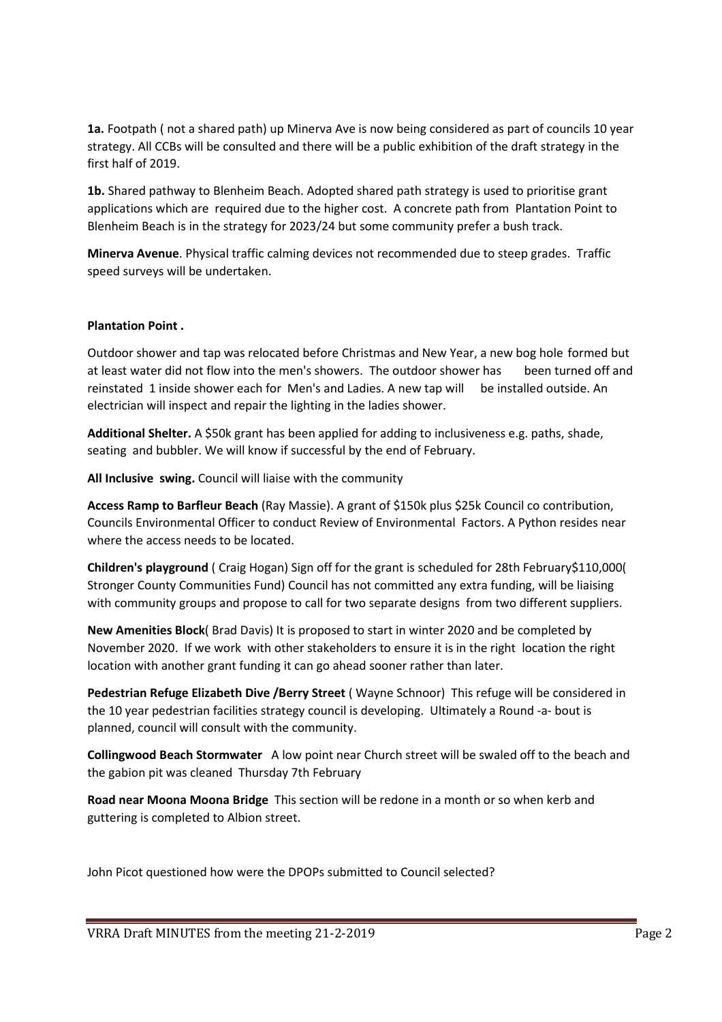1a. Footpath ( not a shared path) up Minerva Ave is now being considered as part of councils 10 year strategy. All CCBs will be consulted and there will be a public exhibition of the draft strategy in the first half of 2019.

1b. Shared pathway to Blenheim Beach. Adopted shared path strategy is used to prioritise grant applications which are required due to the higher cost. A concrete path from Plantation Point to Blenheim Beach is in the strategy for 2023/24 but some community prefer a bush track.

Minerva Avenue. Physical traffic calming devices not recommended due to steep grades. Traffic speed surveys will be undertaken.

## Plantation Point .

Outdoor shower and tap was relocated before Christmas and New Year, a new bog hole formed but at least water did not flow into the men's showers. The outdoor shower has been turned off and reinstated 1 inside shower each for Men's and Ladies. A new tap will be installed outside. An electrician will inspect and repair the lighting in the ladies shower.

Additional Shelter. A \$50k grant has been applied for adding to inclusiveness e.g. paths, shade, seating and bubbler. We will know if successful by the end of February.

All Inclusive swing. Council will liaise with the community

Access Ramp to Barfleur Beach (Ray Massie). A grant of \$150k plus \$25k Council co contribution, Councils Environmental Officer to conduct Review of Environmental Factors. A Python resides near where the access needs to be located.

Children's playground ( Craig Hogan) Sign off for the grant is scheduled for 28th February\$110,000( Stronger County Communities Fund) Council has not committed any extra funding, will be liaising with community groups and propose to call for two separate designs from two different suppliers.

New Amenities Block( Brad Davis) It is proposed to start in winter 2020 and be completed by November 2020. If we work with other stakeholders to ensure it is in the right location the right location with another grant funding it can go ahead sooner rather than later.

Pedestrian Refuge Elizabeth Dive /Berry Street (Wayne Schnoor) This refuge will be considered in the 10 year pedestrian facilities strategy council is developing. Ultimately a Round -a- bout is planned, council will consult with the community.

Collingwood Beach Stormwater A low point near Church street will be swaled off to the beach and the gabion pit was cleaned Thursday 7th February

Road near Moona Moona Bridge This section will be redone in a month or so when kerb and guttering is completed to Albion street.

John Picot questioned how were the DPOPs submitted to Council selected?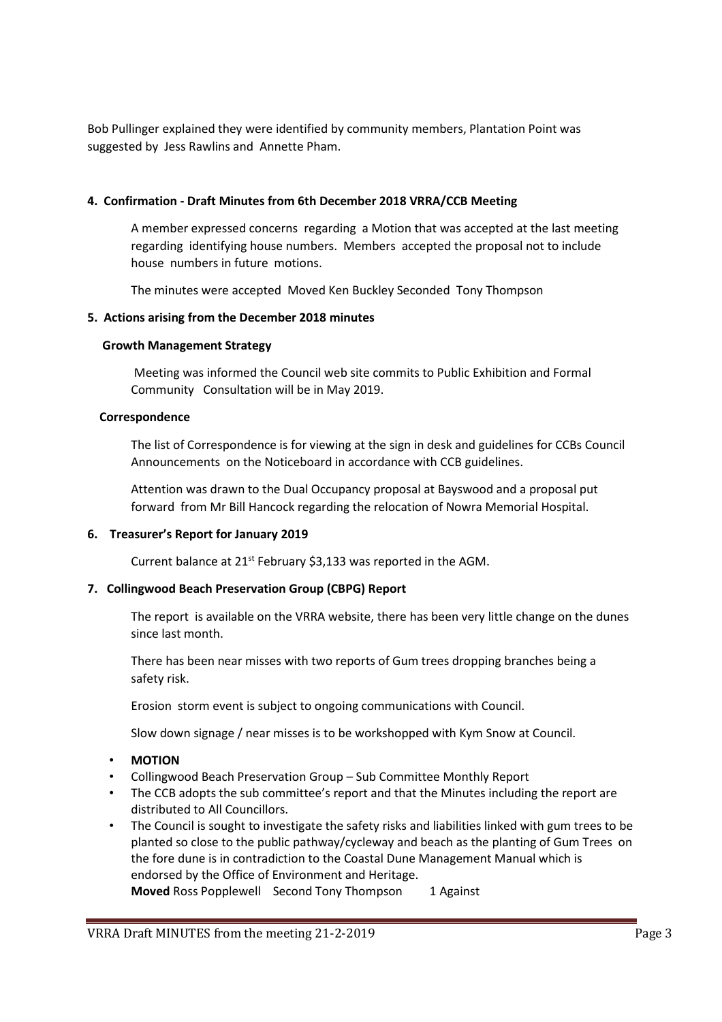Bob Pullinger explained they were identified by community members, Plantation Point was suggested by Jess Rawlins and Annette Pham.

## 4. Confirmation - Draft Minutes from 6th December 2018 VRRA/CCB Meeting

A member expressed concerns regarding a Motion that was accepted at the last meeting regarding identifying house numbers. Members accepted the proposal not to include house numbers in future motions.

The minutes were accepted Moved Ken Buckley Seconded Tony Thompson

## 5. Actions arising from the December 2018 minutes

## Growth Management Strategy

 Meeting was informed the Council web site commits to Public Exhibition and Formal Community Consultation will be in May 2019.

## Correspondence

The list of Correspondence is for viewing at the sign in desk and guidelines for CCBs Council Announcements on the Noticeboard in accordance with CCB guidelines.

 Attention was drawn to the Dual Occupancy proposal at Bayswood and a proposal put forward from Mr Bill Hancock regarding the relocation of Nowra Memorial Hospital.

## 6. Treasurer's Report for January 2019

Current balance at 21<sup>st</sup> February \$3,133 was reported in the AGM.

## 7. Collingwood Beach Preservation Group (CBPG) Report

 The report is available on the VRRA website, there has been very little change on the dunes since last month.

 There has been near misses with two reports of Gum trees dropping branches being a safety risk.

Erosion storm event is subject to ongoing communications with Council.

Slow down signage / near misses is to be workshopped with Kym Snow at Council.

- MOTION
- Collingwood Beach Preservation Group Sub Committee Monthly Report
- The CCB adopts the sub committee's report and that the Minutes including the report are distributed to All Councillors.
- The Council is sought to investigate the safety risks and liabilities linked with gum trees to be planted so close to the public pathway/cycleway and beach as the planting of Gum Trees on the fore dune is in contradiction to the Coastal Dune Management Manual which is endorsed by the Office of Environment and Heritage. Moved Ross Popplewell Second Tony Thompson 1 Against